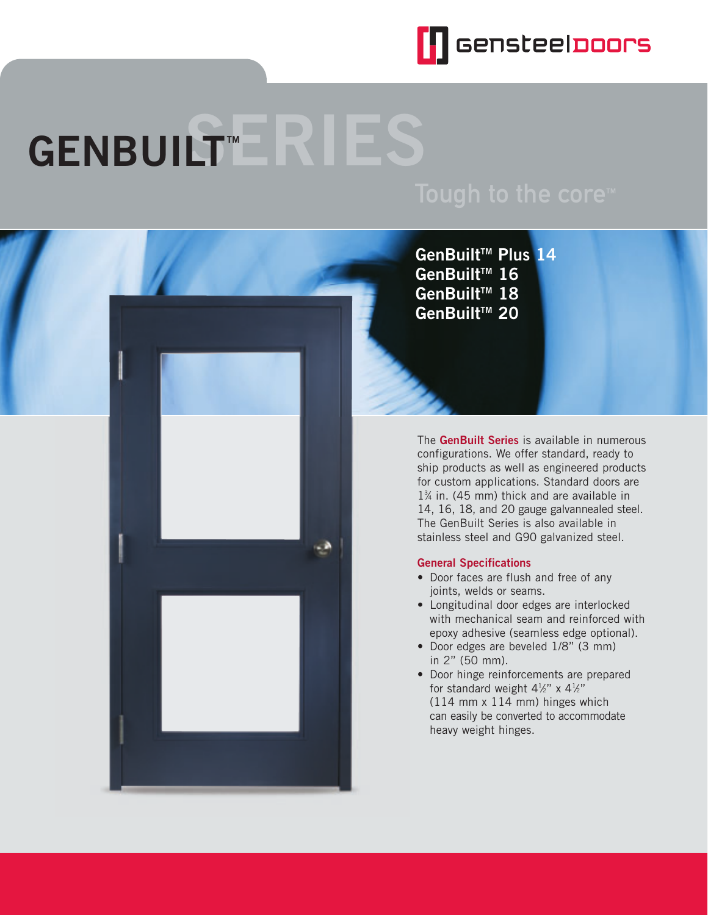

# **GENBUILT™**



**GenBuilt<sup>™</sup> Plus 14 GenBuilt<sup>™</sup> 16** GenBuilt<sup>™</sup> 18 **GenBuiltTM 20**

The **GenBuilt Series** is available in numerous configurations. We offer standard, ready to ship products as well as engineered products for custom applications. Standard doors are 13 ⁄4 in. (45 mm) thick and are available in 14, 16, 18, and 20 gauge galvannealed steel. The GenBuilt Series is also available in stainless steel and G90 galvanized steel.

#### **General Specifications**

- Door faces are flush and free of any joints, welds or seams.
- Longitudinal door edges are interlocked with mechanical seam and reinforced with epoxy adhesive (seamless edge optional).
- Door edges are beveled 1/8" (3 mm) in 2" (50 mm).
- Door hinge reinforcements are prepared for standard weight  $4\frac{1}{2}$ " x  $4\frac{1}{2}$ " (114 mm x 114 mm) hinges which can easily be converted to accommodate heavy weight hinges.